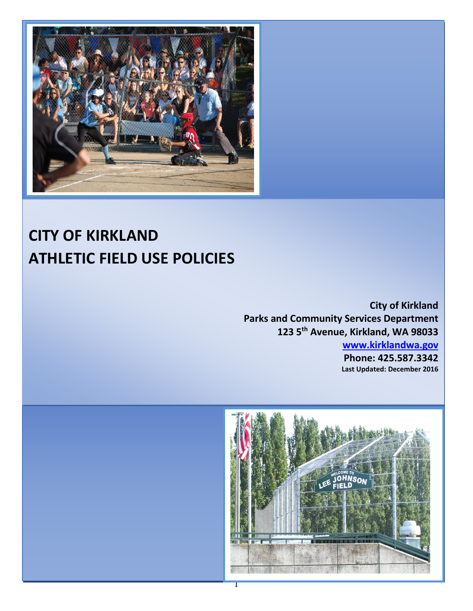

# **CITY OF BOLLOTS CITY OF KIRKLAND ATHLETIC FIELD USE POLICIES**

**Phone: 425.587.3340**

**City of Kirkland Parks and Community Services Department 123 5th Avenue, Kirkland, WA 98033**

**[www.kirklandwa.gov](http://www.kirklandwa.gov/)**

**Phone: 425.587.3342 Last Updated: December 2016**

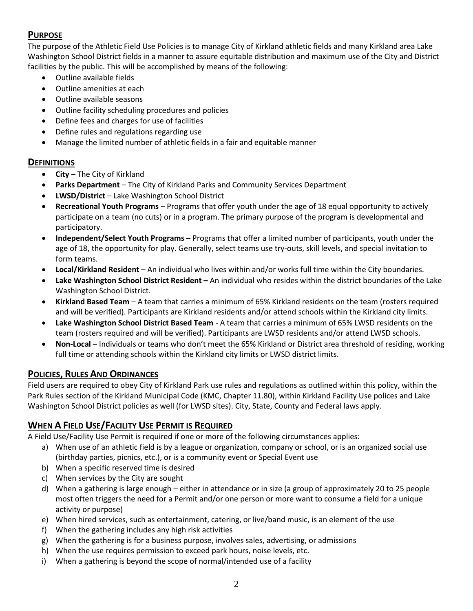# **PURPOSE**

The purpose of the Athletic Field Use Policies is to manage City of Kirkland athletic fields and many Kirkland area Lake Washington School District fields in a manner to assure equitable distribution and maximum use of the City and District facilities by the public. This will be accomplished by means of the following:

- Outline available fields
- Outline amenities at each
- Outline available seasons
- Outline facility scheduling procedures and policies
- Define fees and charges for use of facilities
- Define rules and regulations regarding use
- Manage the limited number of athletic fields in a fair and equitable manner

# **DEFINITIONS**

- **City** The City of Kirkland
- **Parks Department**  The City of Kirkland Parks and Community Services Department
- **LWSD/District** Lake Washington School District
- **Recreational Youth Programs** Programs that offer youth under the age of 18 equal opportunity to actively participate on a team (no cuts) or in a program. The primary purpose of the program is developmental and participatory.
- **Independent/Select Youth Programs** Programs that offer a limited number of participants, youth under the age of 18, the opportunity for play. Generally, select teams use try-outs, skill levels, and special invitation to form teams.
- **Local/Kirkland Resident** An individual who lives within and/or works full time within the City boundaries.
- **Lake Washington School District Resident –** An individual who resides within the district boundaries of the Lake Washington School District.
- **Kirkland Based Team** A team that carries a minimum of 65% Kirkland residents on the team (rosters required and will be verified). Participants are Kirkland residents and/or attend schools within the Kirkland city limits.
- **Lake Washington School District Based Team** A team that carries a minimum of 65% LWSD residents on the team (rosters required and will be verified). Participants are LWSD residents and/or attend LWSD schools.
- **Non-Local** Individuals or teams who don't meet the 65% Kirkland or District area threshold of residing, working full time or attending schools within the Kirkland city limits or LWSD district limits.

# **POLICIES, RULES AND ORDINANCES**

Field users are required to obey City of Kirkland Park use rules and regulations as outlined within this policy, within the Park Rules section of the Kirkland Municipal Code (KMC, Chapter 11.80), within Kirkland Facility Use polices and Lake Washington School District policies as well (for LWSD sites). City, State, County and Federal laws apply.

# **WHEN A FIELD USE/FACILITY USE PERMIT IS REQUIRED**

A Field Use/Facility Use Permit is required if one or more of the following circumstances applies:

- a) When use of an athletic field is by a league or organization, company or school, or is an organized social use (birthday parties, picnics, etc.), or is a community event or Special Event use
- b) When a specific reserved time is desired
- c) When services by the City are sought
- d) When a gathering is large enough either in attendance or in size (a group of approximately 20 to 25 people most often triggers the need for a Permit and/or one person or more want to consume a field for a unique activity or purpose)
- e) When hired services, such as entertainment, catering, or live/band music, is an element of the use
- f) When the gathering includes any high risk activities
- g) When the gathering is for a business purpose, involves sales, advertising, or admissions
- h) When the use requires permission to exceed park hours, noise levels, etc.
- i) When a gathering is beyond the scope of normal/intended use of a facility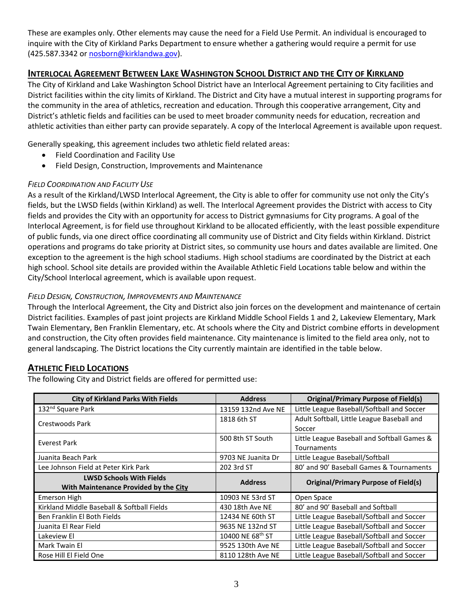These are examples only. Other elements may cause the need for a Field Use Permit. An individual is encouraged to inquire with the City of Kirkland Parks Department to ensure whether a gathering would require a permit for use (425.587.3342 or [nosborn@kirklandwa.gov\)](mailto:nosborn@kirklandwa.gov).

# **INTERLOCAL AGREEMENT BETWEEN LAKE WASHINGTON SCHOOL DISTRICT AND THE CITY OF KIRKLAND**

The City of Kirkland and Lake Washington School District have an Interlocal Agreement pertaining to City facilities and District facilities within the city limits of Kirkland. The District and City have a mutual interest in supporting programs for the community in the area of athletics, recreation and education. Through this cooperative arrangement, City and District's athletic fields and facilities can be used to meet broader community needs for education, recreation and athletic activities than either party can provide separately. A copy of the Interlocal Agreement is available upon request.

Generally speaking, this agreement includes two athletic field related areas:

- Field Coordination and Facility Use
- Field Design, Construction, Improvements and Maintenance

### *FIELD COORDINATION AND FACILITY USE*

As a result of the Kirkland/LWSD Interlocal Agreement, the City is able to offer for community use not only the City's fields, but the LWSD fields (within Kirkland) as well. The Interlocal Agreement provides the District with access to City fields and provides the City with an opportunity for access to District gymnasiums for City programs. A goal of the Interlocal Agreement, is for field use throughout Kirkland to be allocated efficiently, with the least possible expenditure of public funds, via one direct office coordinating all community use of District and City fields within Kirkland. District operations and programs do take priority at District sites, so community use hours and dates available are limited. One exception to the agreement is the high school stadiums. High school stadiums are coordinated by the District at each high school. School site details are provided within the Available Athletic Field Locations table below and within the City/School Interlocal agreement, which is available upon request.

### *FIELD DESIGN, CONSTRUCTION, IMPROVEMENTS AND MAINTENANCE*

Through the Interlocal Agreement, the City and District also join forces on the development and maintenance of certain District facilities. Examples of past joint projects are Kirkland Middle School Fields 1 and 2, Lakeview Elementary, Mark Twain Elementary, Ben Franklin Elementary, etc. At schools where the City and District combine efforts in development and construction, the City often provides field maintenance. City maintenance is limited to the field area only, not to general landscaping. The District locations the City currently maintain are identified in the table below.

# **ATHLETIC FIELD LOCATIONS**

The following City and District fields are offered for permitted use:

| <b>City of Kirkland Parks With Fields</b>  | <b>Address</b>               | <b>Original/Primary Purpose of Field(s)</b> |
|--------------------------------------------|------------------------------|---------------------------------------------|
| 132 <sup>nd</sup> Square Park              | 13159 132nd Ave NE           | Little League Baseball/Softball and Soccer  |
| <b>Crestwoods Park</b>                     | 1818 6th ST                  | Adult Softball, Little League Baseball and  |
|                                            |                              | Soccer                                      |
| Everest Park                               | 500 8th ST South             | Little League Baseball and Softball Games & |
|                                            |                              | <b>Tournaments</b>                          |
| Juanita Beach Park                         | 9703 NE Juanita Dr           | Little League Baseball/Softball             |
| Lee Johnson Field at Peter Kirk Park       | 202 3rd ST                   | 80' and 90' Baseball Games & Tournaments    |
| <b>LWSD Schools With Fields</b>            | <b>Address</b>               | <b>Original/Primary Purpose of Field(s)</b> |
| With Maintenance Provided by the City      |                              |                                             |
| Emerson High                               | 10903 NE 53rd ST             | Open Space                                  |
| Kirkland Middle Baseball & Softball Fields | 430 18th Ave NE              | 80' and 90' Baseball and Softball           |
| Ben Franklin El Both Fields                | 12434 NE 60th ST             | Little League Baseball/Softball and Soccer  |
| Juanita El Rear Field                      | 9635 NE 132nd ST             | Little League Baseball/Softball and Soccer  |
| Lakeview El                                | 10400 NE 68 <sup>th</sup> ST | Little League Baseball/Softball and Soccer  |
| Mark Twain El                              | 9525 130th Ave NE            | Little League Baseball/Softball and Soccer  |
| Rose Hill El Field One                     | 8110 128th Ave NE            | Little League Baseball/Softball and Soccer  |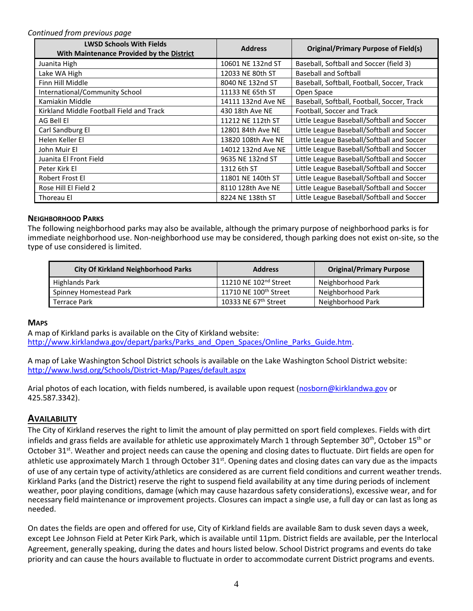#### *Continued from previous page*

| <b>LWSD Schools With Fields</b><br>With Maintenance Provided by the District | <b>Address</b>     | <b>Original/Primary Purpose of Field(s)</b> |
|------------------------------------------------------------------------------|--------------------|---------------------------------------------|
| Juanita High                                                                 | 10601 NE 132nd ST  | Baseball, Softball and Soccer (field 3)     |
| Lake WA High                                                                 | 12033 NE 80th ST   | <b>Baseball and Softball</b>                |
| Finn Hill Middle                                                             | 8040 NE 132nd ST   | Baseball, Softball, Football, Soccer, Track |
| International/Community School                                               | 11133 NE 65th ST   | Open Space                                  |
| Kamiakin Middle                                                              | 14111 132nd Ave NE | Baseball, Softball, Football, Soccer, Track |
| Kirkland Middle Football Field and Track                                     | 430 18th Ave NE    | Football, Soccer and Track                  |
| AG Bell El                                                                   | 11212 NE 112th ST  | Little League Baseball/Softball and Soccer  |
| Carl Sandburg El                                                             | 12801 84th Ave NE  | Little League Baseball/Softball and Soccer  |
| Helen Keller El                                                              | 13820 108th Ave NE | Little League Baseball/Softball and Soccer  |
| John Muir El                                                                 | 14012 132nd Ave NE | Little League Baseball/Softball and Soccer  |
| Juanita El Front Field                                                       | 9635 NE 132nd ST   | Little League Baseball/Softball and Soccer  |
| Peter Kirk El                                                                | 1312 6th ST        | Little League Baseball/Softball and Soccer  |
| Robert Frost El                                                              | 11801 NE 140th ST  | Little League Baseball/Softball and Soccer  |
| Rose Hill El Field 2                                                         | 8110 128th Ave NE  | Little League Baseball/Softball and Soccer  |
| Thoreau El                                                                   | 8224 NE 138th ST   | Little League Baseball/Softball and Soccer  |

#### **NEIGHBORHOOD PARKS**

The following neighborhood parks may also be available, although the primary purpose of neighborhood parks is for immediate neighborhood use. Non-neighborhood use may be considered, though parking does not exist on-site, so the type of use considered is limited.

| <b>City Of Kirkland Neighborhood Parks</b> | <b>Address</b>                    | <b>Original/Primary Purpose</b> |
|--------------------------------------------|-----------------------------------|---------------------------------|
| Highlands Park                             | 11210 NE 102 <sup>nd</sup> Street | Neighborhood Park               |
| Spinney Homestead Park                     | 11710 NE 100 <sup>th</sup> Street | Neighborhood Park               |
| <b>Terrace Park</b>                        | 10333 NE 67 <sup>th</sup> Street  | Neighborhood Park               |

#### **MAPS**

A map of Kirkland parks is available on the City of Kirkland website: [http://www.kirklandwa.gov/depart/parks/Parks\\_and\\_Open\\_Spaces/Online\\_Parks\\_Guide.htm.](http://www.kirklandwa.gov/depart/parks/Parks_and_Open_Spaces/Online_Parks_Guide.htm)

A map of Lake Washington School District schools is available on the Lake Washington School District website: <http://www.lwsd.org/Schools/District-Map/Pages/default.aspx>

Arial photos of each location, with fields numbered, is available upon request [\(nosborn@kirklandwa.gov](mailto:nosborn@kirklandwa.gov) or 425.587.3342).

### **AVAILABILITY**

The City of Kirkland reserves the right to limit the amount of play permitted on sport field complexes. Fields with dirt infields and grass fields are available for athletic use approximately March 1 through September 30<sup>th</sup>, October 15<sup>th</sup> or October 31<sup>st</sup>. Weather and project needs can cause the opening and closing dates to fluctuate. Dirt fields are open for athletic use approximately March 1 through October 31<sup>st</sup>. Opening dates and closing dates can vary due as the impacts of use of any certain type of activity/athletics are considered as are current field conditions and current weather trends. Kirkland Parks (and the District) reserve the right to suspend field availability at any time during periods of inclement weather, poor playing conditions, damage (which may cause hazardous safety considerations), excessive wear, and for necessary field maintenance or improvement projects. Closures can impact a single use, a full day or can last as long as needed.

On dates the fields are open and offered for use, City of Kirkland fields are available 8am to dusk seven days a week, except Lee Johnson Field at Peter Kirk Park, which is available until 11pm. District fields are available, per the Interlocal Agreement, generally speaking, during the dates and hours listed below. School District programs and events do take priority and can cause the hours available to fluctuate in order to accommodate current District programs and events.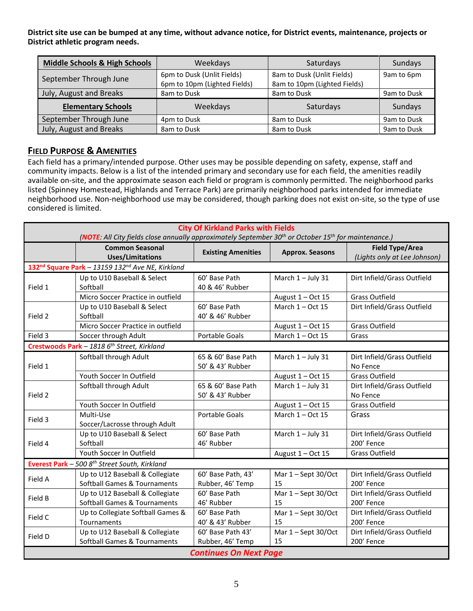**District site use can be bumped at any time, without advance notice, for District events, maintenance, projects or District athletic program needs.** 

| <b>Middle Schools &amp; High Schools</b> | Weekdays                                                   | Saturdays                                                  | Sundays     |
|------------------------------------------|------------------------------------------------------------|------------------------------------------------------------|-------------|
| September Through June                   | 6pm to Dusk (Unlit Fields)<br>6pm to 10pm (Lighted Fields) | 8am to Dusk (Unlit Fields)<br>8am to 10pm (Lighted Fields) | 9am to 6pm  |
| July, August and Breaks                  | 8am to Dusk                                                | 8am to Dusk                                                | 9am to Dusk |
| <b>Elementary Schools</b>                | Weekdays                                                   | Saturdays                                                  | Sundays     |
| September Through June                   | 4pm to Dusk                                                | 8am to Dusk                                                | 9am to Dusk |
| July, August and Breaks                  | 8am to Dusk                                                | 8am to Dusk                                                | 9am to Dusk |

# **FIELD PURPOSE & AMENITIES**

Each field has a primary/intended purpose. Other uses may be possible depending on safety, expense, staff and community impacts. Below is a list of the intended primary and secondary use for each field, the amenities readily available on-site, and the approximate season each field or program is commonly permitted. The neighborhood parks listed (Spinney Homestead, Highlands and Terrace Park) are primarily neighborhood parks intended for immediate neighborhood use. Non-neighborhood use may be considered, though parking does not exist on-site, so the type of use considered is limited.

| <b>City Of Kirkland Parks with Fields</b> |                                                                                                                              |                       |                        |                              |
|-------------------------------------------|------------------------------------------------------------------------------------------------------------------------------|-----------------------|------------------------|------------------------------|
|                                           | (NOTE: All City fields close annually approximately September 30 <sup>th</sup> or October 15 <sup>th</sup> for maintenance.) |                       |                        |                              |
|                                           | <b>Common Seasonal</b><br><b>Existing Amenities</b>                                                                          |                       | <b>Approx. Seasons</b> | <b>Field Type/Area</b>       |
|                                           | <b>Uses/Limitations</b>                                                                                                      |                       |                        | (Lights only at Lee Johnson) |
|                                           | 132 <sup>nd</sup> Square Park - 13159 132 <sup>nd</sup> Ave NE, Kirkland                                                     |                       |                        |                              |
|                                           | Up to U10 Baseball & Select                                                                                                  | 60' Base Path         | March 1-July 31        | Dirt Infield/Grass Outfield  |
| Field 1                                   | Softball                                                                                                                     | 40 & 46' Rubber       |                        |                              |
|                                           | Micro Soccer Practice in outfield                                                                                            |                       | August $1 - Oct$ 15    | <b>Grass Outfield</b>        |
|                                           | Up to U10 Baseball & Select                                                                                                  | 60' Base Path         | March $1 - Oct$ 15     | Dirt Infield/Grass Outfield  |
| Field 2                                   | Softball                                                                                                                     | 40' & 46' Rubber      |                        |                              |
|                                           | Micro Soccer Practice in outfield                                                                                            |                       | August $1 - Oct$ 15    | Grass Outfield               |
| Field 3                                   | Soccer through Adult                                                                                                         | <b>Portable Goals</b> | March $1 - Oct$ 15     | Grass                        |
|                                           | Crestwoods Park - 1818 6 <sup>th</sup> Street, Kirkland                                                                      |                       |                        |                              |
|                                           | Softball through Adult                                                                                                       | 65 & 60' Base Path    | March 1-July 31        | Dirt Infield/Grass Outfield  |
| Field 1                                   |                                                                                                                              | 50' & 43' Rubber      |                        | No Fence                     |
|                                           | Youth Soccer In Outfield                                                                                                     |                       | August $1 - Oct$ 15    | <b>Grass Outfield</b>        |
|                                           | Softball through Adult                                                                                                       | 65 & 60' Base Path    | March 1-July 31        | Dirt Infield/Grass Outfield  |
| Field 2                                   |                                                                                                                              | 50' & 43' Rubber      |                        | No Fence                     |
|                                           | Youth Soccer In Outfield                                                                                                     |                       | August $1 - Oct$ 15    | <b>Grass Outfield</b>        |
| Field 3                                   | Multi-Use                                                                                                                    | <b>Portable Goals</b> | March $1 - Oct$ 15     | Grass                        |
|                                           | Soccer/Lacrosse through Adult                                                                                                |                       |                        |                              |
|                                           | Up to U10 Baseball & Select                                                                                                  | 60' Base Path         | March 1-July 31        | Dirt Infield/Grass Outfield  |
| Field 4                                   | Softball                                                                                                                     | 46' Rubber            |                        | 200' Fence                   |
|                                           | Youth Soccer In Outfield                                                                                                     |                       | August $1 - Oct$ 15    | <b>Grass Outfield</b>        |
|                                           | Everest Park - 500 8 <sup>th</sup> Street South, Kirkland                                                                    |                       |                        |                              |
| Field A                                   | Up to U12 Baseball & Collegiate                                                                                              | 60' Base Path, 43'    | Mar 1 - Sept 30/Oct    | Dirt Infield/Grass Outfield  |
|                                           | <b>Softball Games &amp; Tournaments</b>                                                                                      | Rubber, 46' Temp      | 15                     | 200' Fence                   |
| Field B                                   | Up to U12 Baseball & Collegiate                                                                                              | 60' Base Path         | Mar 1-Sept 30/Oct      | Dirt Infield/Grass Outfield  |
|                                           | <b>Softball Games &amp; Tournaments</b>                                                                                      | 46' Rubber            | 15                     | 200' Fence                   |
| Field C                                   | Up to Collegiate Softball Games &                                                                                            | 60' Base Path         | Mar 1-Sept 30/Oct      | Dirt Infield/Grass Outfield  |
|                                           | Tournaments                                                                                                                  | 40' & 43' Rubber      | 15                     | 200' Fence                   |
| Field D                                   | Up to U12 Baseball & Collegiate                                                                                              | 60' Base Path 43'     | Mar 1 - Sept 30/Oct    | Dirt Infield/Grass Outfield  |
|                                           | Softball Games & Tournaments                                                                                                 | Rubber, 46' Temp      | 15                     | 200' Fence                   |
| <b>Continues On Next Page</b>             |                                                                                                                              |                       |                        |                              |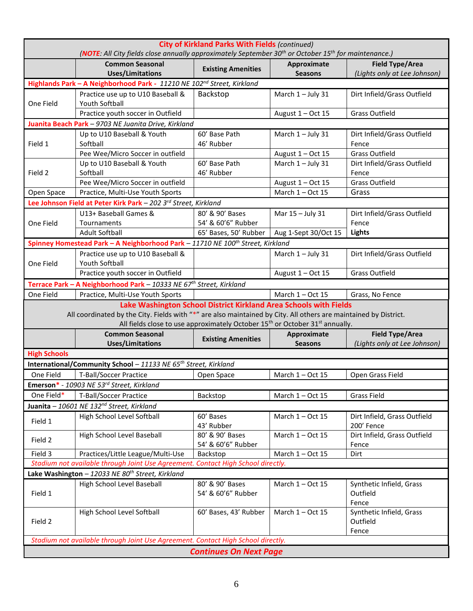| <b>City of Kirkland Parks With Fields (continued)</b><br>(NOTE: All City fields close annually approximately September 30 <sup>th</sup> or October 15 <sup>th</sup> for maintenance.) |                                                                                                                  |                                       |                                                                                                                                                                           |                                                        |
|---------------------------------------------------------------------------------------------------------------------------------------------------------------------------------------|------------------------------------------------------------------------------------------------------------------|---------------------------------------|---------------------------------------------------------------------------------------------------------------------------------------------------------------------------|--------------------------------------------------------|
|                                                                                                                                                                                       | <b>Common Seasonal</b><br><b>Uses/Limitations</b>                                                                | <b>Existing Amenities</b>             | Approximate<br><b>Seasons</b>                                                                                                                                             | <b>Field Type/Area</b><br>(Lights only at Lee Johnson) |
|                                                                                                                                                                                       | Highlands Park - A Neighborhood Park - 11210 NE 102 <sup>nd</sup> Street, Kirkland                               |                                       |                                                                                                                                                                           |                                                        |
| One Field                                                                                                                                                                             | Practice use up to U10 Baseball &<br><b>Youth Softball</b>                                                       | Backstop                              | March 1-July 31                                                                                                                                                           | Dirt Infield/Grass Outfield                            |
|                                                                                                                                                                                       | Practice youth soccer in Outfield                                                                                |                                       | August 1 - Oct 15                                                                                                                                                         | <b>Grass Outfield</b>                                  |
|                                                                                                                                                                                       | Juanita Beach Park - 9703 NE Juanita Drive, Kirkland                                                             |                                       |                                                                                                                                                                           |                                                        |
| Field 1                                                                                                                                                                               | Up to U10 Baseball & Youth<br>Softball                                                                           | 60' Base Path<br>46' Rubber           | March 1-July 31                                                                                                                                                           | Dirt Infield/Grass Outfield<br>Fence                   |
|                                                                                                                                                                                       | Pee Wee/Micro Soccer in outfield                                                                                 |                                       | August 1 - Oct 15                                                                                                                                                         | <b>Grass Outfield</b>                                  |
|                                                                                                                                                                                       | Up to U10 Baseball & Youth                                                                                       | 60' Base Path                         | March 1 - July 31                                                                                                                                                         | Dirt Infield/Grass Outfield                            |
| Field 2                                                                                                                                                                               | Softball                                                                                                         | 46' Rubber                            |                                                                                                                                                                           | Fence                                                  |
|                                                                                                                                                                                       | Pee Wee/Micro Soccer in outfield                                                                                 |                                       | August $1 - Oct$ 15                                                                                                                                                       | <b>Grass Outfield</b>                                  |
| Open Space                                                                                                                                                                            | Practice, Multi-Use Youth Sports                                                                                 |                                       | March $1 - Oct$ 15                                                                                                                                                        | Grass                                                  |
|                                                                                                                                                                                       | Lee Johnson Field at Peter Kirk Park - 202 3rd Street, Kirkland                                                  |                                       |                                                                                                                                                                           |                                                        |
|                                                                                                                                                                                       | U13+ Baseball Games &                                                                                            | 80' & 90' Bases                       | Mar 15 - July 31                                                                                                                                                          | Dirt Infield/Grass Outfield                            |
| One Field                                                                                                                                                                             | Tournaments                                                                                                      | 54' & 60'6" Rubber                    |                                                                                                                                                                           | Fence                                                  |
|                                                                                                                                                                                       | <b>Adult Softball</b>                                                                                            | 65' Bases, 50' Rubber                 | Aug 1-Sept 30/Oct 15                                                                                                                                                      | <b>Lights</b>                                          |
|                                                                                                                                                                                       | Spinney Homestead Park - A Neighborhood Park - 11710 NE 100 <sup>th</sup> Street, Kirkland                       |                                       |                                                                                                                                                                           |                                                        |
|                                                                                                                                                                                       | Practice use up to U10 Baseball &                                                                                |                                       | March 1 - July 31                                                                                                                                                         | Dirt Infield/Grass Outfield                            |
| One Field                                                                                                                                                                             | Youth Softball                                                                                                   |                                       |                                                                                                                                                                           |                                                        |
|                                                                                                                                                                                       | Practice youth soccer in Outfield                                                                                |                                       | August $1 - Oct$ 15                                                                                                                                                       | <b>Grass Outfield</b>                                  |
|                                                                                                                                                                                       | Terrace Park - A Neighborhood Park - 10333 NE 67th Street, Kirkland                                              |                                       |                                                                                                                                                                           |                                                        |
| One Field                                                                                                                                                                             | Practice, Multi-Use Youth Sports                                                                                 |                                       | March $1 - Oct$ 15                                                                                                                                                        | Grass, No Fence                                        |
|                                                                                                                                                                                       | All coordinated by the City. Fields with "*" are also maintained by City. All others are maintained by District. |                                       | Lake Washington School District Kirkland Area Schools with Fields<br>All fields close to use approximately October 15 <sup>th</sup> or October 31 <sup>st</sup> annually. |                                                        |
|                                                                                                                                                                                       | <b>Common Seasonal</b>                                                                                           |                                       | Approximate                                                                                                                                                               | <b>Field Type/Area</b>                                 |
|                                                                                                                                                                                       | Uses/Limitations                                                                                                 | <b>Existing Amenities</b>             | <b>Seasons</b>                                                                                                                                                            | (Lights only at Lee Johnson)                           |
| <b>High Schools</b>                                                                                                                                                                   |                                                                                                                  |                                       |                                                                                                                                                                           |                                                        |
|                                                                                                                                                                                       | International/Community School - 11133 NE 65 <sup>th</sup> Street, Kirkland                                      |                                       |                                                                                                                                                                           |                                                        |
| One Field                                                                                                                                                                             | <b>T-Ball/Soccer Practice</b>                                                                                    | Open Space                            | March 1-Oct 15                                                                                                                                                            | Open Grass Field                                       |
|                                                                                                                                                                                       | <b>Emerson*</b> - 10903 NE 53 <sup>rd</sup> Street, Kirkland                                                     |                                       |                                                                                                                                                                           |                                                        |
| One Field*                                                                                                                                                                            | <b>T-Ball/Soccer Practice</b>                                                                                    | Backstop                              | March $1 - Oct$ 15                                                                                                                                                        | <b>Grass Field</b>                                     |
|                                                                                                                                                                                       | Juanita - 10601 NE 132 <sup>nd</sup> Street, Kirkland                                                            |                                       |                                                                                                                                                                           |                                                        |
|                                                                                                                                                                                       | High School Level Softball                                                                                       | 60' Bases                             | March 1-Oct 15                                                                                                                                                            | Dirt Infield, Grass Outfield                           |
| Field 1                                                                                                                                                                               |                                                                                                                  | 43' Rubber                            |                                                                                                                                                                           | 200' Fence                                             |
| Field 2                                                                                                                                                                               | High School Level Baseball                                                                                       | 80' & 90' Bases<br>54' & 60'6" Rubber | March 1-Oct 15                                                                                                                                                            | Dirt Infield, Grass Outfield<br>Fence                  |
| Field 3                                                                                                                                                                               | Practices/Little League/Multi-Use                                                                                | Backstop                              | March 1-Oct 15                                                                                                                                                            | Dirt                                                   |
|                                                                                                                                                                                       | Stadium not available through Joint Use Agreement. Contact High School directly.                                 |                                       |                                                                                                                                                                           |                                                        |
| Lake Washington - 12033 NE 80 <sup>th</sup> Street, Kirkland                                                                                                                          |                                                                                                                  |                                       |                                                                                                                                                                           |                                                        |
| Field 1                                                                                                                                                                               | High School Level Baseball                                                                                       | 80' & 90' Bases<br>54' & 60'6" Rubber | March $1 - Oct$ 15                                                                                                                                                        | Synthetic Infield, Grass<br>Outfield<br>Fence          |
| Field 2                                                                                                                                                                               | High School Level Softball                                                                                       | 60' Bases, 43' Rubber                 | March $1 - Oct$ 15                                                                                                                                                        | Synthetic Infield, Grass<br>Outfield<br>Fence          |
|                                                                                                                                                                                       | Stadium not available through Joint Use Agreement. Contact High School directly.                                 |                                       |                                                                                                                                                                           |                                                        |
| <b>Continues On Next Page</b>                                                                                                                                                         |                                                                                                                  |                                       |                                                                                                                                                                           |                                                        |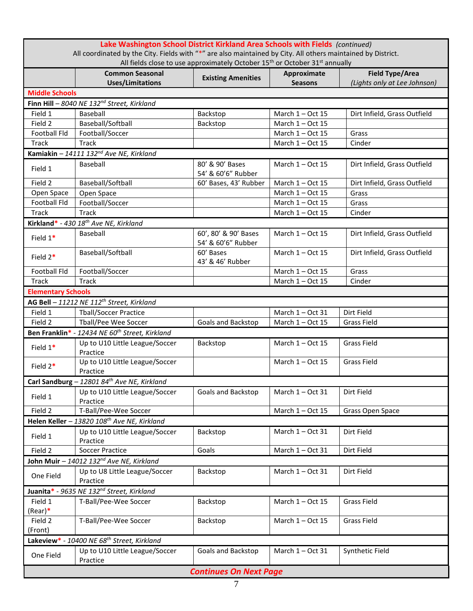| Lake Washington School District Kirkland Area Schools with Fields (continued)<br>All coordinated by the City. Fields with "*" are also maintained by City. All others maintained by District.<br>All fields close to use approximately October 15 <sup>th</sup> or October 31 <sup>st</sup> annually |                                                            |                                            |                               |                                                        |  |
|------------------------------------------------------------------------------------------------------------------------------------------------------------------------------------------------------------------------------------------------------------------------------------------------------|------------------------------------------------------------|--------------------------------------------|-------------------------------|--------------------------------------------------------|--|
|                                                                                                                                                                                                                                                                                                      | <b>Common Seasonal</b><br><b>Uses/Limitations</b>          | <b>Existing Amenities</b>                  | Approximate<br><b>Seasons</b> | <b>Field Type/Area</b><br>(Lights only at Lee Johnson) |  |
| <b>Middle Schools</b>                                                                                                                                                                                                                                                                                |                                                            |                                            |                               |                                                        |  |
|                                                                                                                                                                                                                                                                                                      | Finn Hill - 8040 NE 132 <sup>nd</sup> Street, Kirkland     |                                            |                               |                                                        |  |
| Field 1                                                                                                                                                                                                                                                                                              | Baseball                                                   | Backstop                                   | March $1 - Oct$ 15            | Dirt Infield, Grass Outfield                           |  |
| Field 2                                                                                                                                                                                                                                                                                              | Baseball/Softball                                          | Backstop                                   | March 1 - Oct 15              |                                                        |  |
| <b>Football Fld</b>                                                                                                                                                                                                                                                                                  | Football/Soccer                                            |                                            | March $1 - Oct$ 15            | Grass                                                  |  |
| <b>Track</b>                                                                                                                                                                                                                                                                                         | Track                                                      |                                            | March $1 - Oct$ 15            | Cinder                                                 |  |
|                                                                                                                                                                                                                                                                                                      | Kamiakin - 14111 132 <sup>nd</sup> Ave NE, Kirkland        |                                            |                               |                                                        |  |
| Field 1                                                                                                                                                                                                                                                                                              | Baseball                                                   | 80' & 90' Bases<br>54' & 60'6" Rubber      | March $1 - Oct$ 15            | Dirt Infield, Grass Outfield                           |  |
| Field 2                                                                                                                                                                                                                                                                                              | Baseball/Softball                                          | 60' Bases, 43' Rubber                      | March 1 - Oct 15              | Dirt Infield, Grass Outfield                           |  |
| Open Space                                                                                                                                                                                                                                                                                           | Open Space                                                 |                                            | March 1-Oct 15                | Grass                                                  |  |
| <b>Football Fld</b>                                                                                                                                                                                                                                                                                  | Football/Soccer                                            |                                            | March $1 - Oct$ 15            | Grass                                                  |  |
| <b>Track</b>                                                                                                                                                                                                                                                                                         | Track                                                      |                                            | March $1 - Oct$ 15            | Cinder                                                 |  |
|                                                                                                                                                                                                                                                                                                      | Kirkland* - 430 18 <sup>th</sup> Ave NE, Kirkland          |                                            |                               |                                                        |  |
| Field $1*$                                                                                                                                                                                                                                                                                           | Baseball                                                   | 60', 80' & 90' Bases<br>54' & 60'6" Rubber | March 1 - Oct 15              | Dirt Infield, Grass Outfield                           |  |
| Field $2*$                                                                                                                                                                                                                                                                                           | Baseball/Softball                                          | 60' Bases<br>43' & 46' Rubber              | March $1 - Oct$ 15            | Dirt Infield, Grass Outfield                           |  |
| <b>Football Fld</b>                                                                                                                                                                                                                                                                                  | Football/Soccer                                            |                                            | March 1 - Oct 15              | Grass                                                  |  |
| <b>Track</b>                                                                                                                                                                                                                                                                                         | Track                                                      |                                            | March $1 - Oct$ 15            | Cinder                                                 |  |
| <b>Elementary Schools</b>                                                                                                                                                                                                                                                                            |                                                            |                                            |                               |                                                        |  |
|                                                                                                                                                                                                                                                                                                      | AG Bell - 11212 NE 112th Street, Kirkland                  |                                            |                               |                                                        |  |
| Field 1                                                                                                                                                                                                                                                                                              | <b>Tball/Soccer Practice</b>                               |                                            | March $1 - Oct$ 31            | Dirt Field                                             |  |
| Field 2                                                                                                                                                                                                                                                                                              | Tball/Pee Wee Soccer                                       | <b>Goals and Backstop</b>                  | March 1-Oct 15                | <b>Grass Field</b>                                     |  |
|                                                                                                                                                                                                                                                                                                      | Ben Franklin* - 12434 NE 60 <sup>th</sup> Street, Kirkland |                                            |                               |                                                        |  |
| Field 1*                                                                                                                                                                                                                                                                                             | Up to U10 Little League/Soccer<br>Practice                 | Backstop                                   | March 1-Oct 15                | <b>Grass Field</b>                                     |  |
| Field 2*                                                                                                                                                                                                                                                                                             | Up to U10 Little League/Soccer<br>Practice                 |                                            | March $1 - Oct$ 15            | <b>Grass Field</b>                                     |  |
|                                                                                                                                                                                                                                                                                                      | Carl Sandburg - $1280184^{th}$ Ave NE, Kirkland            |                                            |                               |                                                        |  |
| Field 1                                                                                                                                                                                                                                                                                              | Up to U10 Little League/Soccer<br>Practice                 | Goals and Backstop                         | March $1 - Oct$ 31            | Dirt Field                                             |  |
| Field 2                                                                                                                                                                                                                                                                                              | T-Ball/Pee-Wee Soccer                                      |                                            | March 1 - Oct 15              | Grass Open Space                                       |  |
|                                                                                                                                                                                                                                                                                                      | Helen Keller - 13820 108th Ave NE, Kirkland                |                                            |                               |                                                        |  |
| Field 1                                                                                                                                                                                                                                                                                              | Up to U10 Little League/Soccer<br>Practice                 | Backstop                                   | March 1 - Oct 31              | Dirt Field                                             |  |
| Field 2                                                                                                                                                                                                                                                                                              | <b>Soccer Practice</b>                                     | Goals                                      | March 1-Oct 31                | Dirt Field                                             |  |
|                                                                                                                                                                                                                                                                                                      | John Muir - 14012 132 <sup>nd</sup> Ave NE, Kirkland       |                                            |                               |                                                        |  |
| One Field                                                                                                                                                                                                                                                                                            | Up to U8 Little League/Soccer<br>Practice                  | Backstop                                   | March 1 - Oct 31              | Dirt Field                                             |  |
| 9635 NE 132 <sup>nd</sup> Street, Kirkland<br>Juanita* -                                                                                                                                                                                                                                             |                                                            |                                            |                               |                                                        |  |
| Field 1                                                                                                                                                                                                                                                                                              | T-Ball/Pee-Wee Soccer                                      | Backstop                                   | March 1-Oct 15                | <b>Grass Field</b>                                     |  |
| (Rear)*                                                                                                                                                                                                                                                                                              | T-Ball/Pee-Wee Soccer                                      |                                            |                               | <b>Grass Field</b>                                     |  |
| Field 2<br>(Front)                                                                                                                                                                                                                                                                                   |                                                            | Backstop                                   | March 1 - Oct 15              |                                                        |  |
|                                                                                                                                                                                                                                                                                                      | Lakeview* - 10400 NE 68 <sup>th</sup> Street, Kirkland     |                                            |                               |                                                        |  |
| One Field                                                                                                                                                                                                                                                                                            | Up to U10 Little League/Soccer<br>Practice                 | Goals and Backstop                         | March 1 - Oct 31              | Synthetic Field                                        |  |
|                                                                                                                                                                                                                                                                                                      |                                                            | <b>Continues On Next Page</b>              |                               |                                                        |  |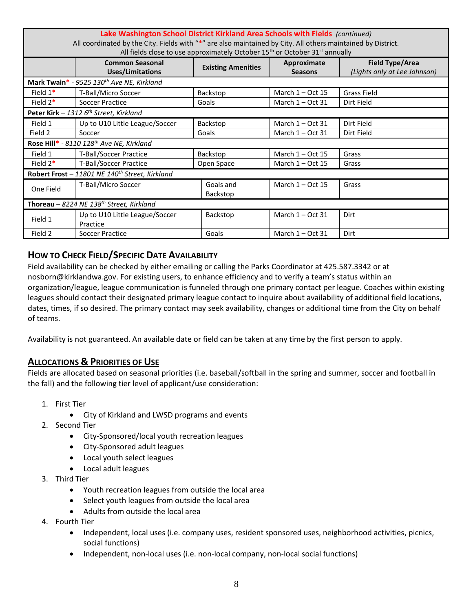| Lake Washington School District Kirkland Area Schools with Fields (continued)<br>All coordinated by the City. Fields with "*" are also maintained by City. All others maintained by District.<br>All fields close to use approximately October 15 <sup>th</sup> or October 31 <sup>st</sup> annually |                                                            |                           |                               |                                                        |
|------------------------------------------------------------------------------------------------------------------------------------------------------------------------------------------------------------------------------------------------------------------------------------------------------|------------------------------------------------------------|---------------------------|-------------------------------|--------------------------------------------------------|
|                                                                                                                                                                                                                                                                                                      | <b>Common Seasonal</b><br><b>Uses/Limitations</b>          | <b>Existing Amenities</b> | Approximate<br><b>Seasons</b> | <b>Field Type/Area</b><br>(Lights only at Lee Johnson) |
|                                                                                                                                                                                                                                                                                                      | Mark Twain* - $9525$ 130 <sup>th</sup> Ave NE, Kirkland    |                           |                               |                                                        |
| Field $1*$                                                                                                                                                                                                                                                                                           | T-Ball/Micro Soccer                                        | Backstop                  | March $1 - Oct$ 15            | <b>Grass Field</b>                                     |
| Field $2^*$                                                                                                                                                                                                                                                                                          | Soccer Practice                                            | Goals                     | March $1 - Oct$ 31            | Dirt Field                                             |
|                                                                                                                                                                                                                                                                                                      | Peter Kirk - 1312 $6th$ Street, Kirkland                   |                           |                               |                                                        |
| Field 1                                                                                                                                                                                                                                                                                              | Up to U10 Little League/Soccer                             | Backstop                  | March 1 - Oct 31              | Dirt Field                                             |
| Field 2                                                                                                                                                                                                                                                                                              | Soccer                                                     | Goals                     | March $1 - Oct$ 31            | Dirt Field                                             |
|                                                                                                                                                                                                                                                                                                      | Rose Hill* - 8110 128 <sup>th</sup> Ave NE, Kirkland       |                           |                               |                                                        |
| Field 1                                                                                                                                                                                                                                                                                              | <b>T-Ball/Soccer Practice</b>                              | Backstop                  | March $1 - Oct$ 15            | Grass                                                  |
| Field $2*$                                                                                                                                                                                                                                                                                           | <b>T-Ball/Soccer Practice</b>                              | Open Space                | March $1 - Oct$ 15            | Grass                                                  |
|                                                                                                                                                                                                                                                                                                      | Robert Frost - 11801 NE 140 <sup>th</sup> Street, Kirkland |                           |                               |                                                        |
| One Field                                                                                                                                                                                                                                                                                            | T-Ball/Micro Soccer                                        | Goals and<br>Backstop     | March $1 - Oct$ 15            | Grass                                                  |
| Thoreau - 8224 NE 138 <sup>th</sup> Street, Kirkland                                                                                                                                                                                                                                                 |                                                            |                           |                               |                                                        |
| Field 1                                                                                                                                                                                                                                                                                              | Up to U10 Little League/Soccer<br>Practice                 | Backstop                  | March $1 - Oct$ 31            | Dirt                                                   |
| Field 2                                                                                                                                                                                                                                                                                              | Soccer Practice                                            | Goals                     | March $1 - Oct$ 31            | Dirt                                                   |

# **HOW TO CHECK FIELD/SPECIFIC DATE AVAILABILITY**

Field availability can be checked by either emailing or calling the Parks Coordinator at 425.587.3342 or at nosborn@kirklandwa.gov. For existing users, to enhance efficiency and to verify a team's status within an organization/league, league communication is funneled through one primary contact per league. Coaches within existing leagues should contact their designated primary league contact to inquire about availability of additional field locations, dates, times, if so desired. The primary contact may seek availability, changes or additional time from the City on behalf of teams.

Availability is not guaranteed. An available date or field can be taken at any time by the first person to apply.

# **ALLOCATIONS & PRIORITIES OF USE**

Fields are allocated based on seasonal priorities (i.e. baseball/softball in the spring and summer, soccer and football in the fall) and the following tier level of applicant/use consideration:

- 1. First Tier
	- City of Kirkland and LWSD programs and events
- 2. Second Tier
	- City-Sponsored/local youth recreation leagues
	- City-Sponsored adult leagues
	- Local youth select leagues
	- Local adult leagues
- 3. Third Tier
	- Youth recreation leagues from outside the local area
	- Select youth leagues from outside the local area
	- Adults from outside the local area
- 4. Fourth Tier
	- Independent, local uses (i.e. company uses, resident sponsored uses, neighborhood activities, picnics, social functions)
	- Independent, non-local uses (i.e. non-local company, non-local social functions)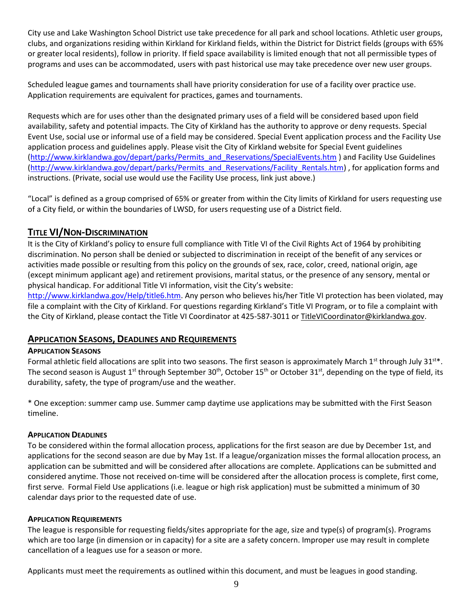City use and Lake Washington School District use take precedence for all park and school locations. Athletic user groups, clubs, and organizations residing within Kirkland for Kirkland fields, within the District for District fields (groups with 65% or greater local residents), follow in priority. If field space availability is limited enough that not all permissible types of programs and uses can be accommodated, users with past historical use may take precedence over new user groups.

Scheduled league games and tournaments shall have priority consideration for use of a facility over practice use. Application requirements are equivalent for practices, games and tournaments.

Requests which are for uses other than the designated primary uses of a field will be considered based upon field availability, safety and potential impacts. The City of Kirkland has the authority to approve or deny requests. Special Event Use, social use or informal use of a field may be considered. Special Event application process and the Facility Use application process and guidelines apply. Please visit the City of Kirkland website for Special Event guidelines [\(http://www.kirklandwa.gov/depart/parks/Permits\\_and\\_Reservations/SpecialEvents.htm](http://www.kirklandwa.gov/depart/parks/Permits_and_Reservations/SpecialEvents.htm) ) and Facility Use Guidelines [\(http://www.kirklandwa.gov/depart/parks/Permits\\_and\\_Reservations/Facility\\_Rentals.htm\)](http://www.kirklandwa.gov/depart/parks/Permits_and_Reservations/Facility_Rentals.htm) , for application forms and instructions. (Private, social use would use the Facility Use process, link just above.)

"Local" is defined as a group comprised of 65% or greater from within the City limits of Kirkland for users requesting use of a City field, or within the boundaries of LWSD, for users requesting use of a District field.

# **TITLE VI/NON-DISCRIMINATION**

It is the City of Kirkland's policy to ensure full compliance with Title VI of the Civil Rights Act of 1964 by prohibiting discrimination. No person shall be denied or subjected to discrimination in receipt of the benefit of any services or activities made possible or resulting from this policy on the grounds of sex, race, color, creed, national origin, age (except minimum applicant age) and retirement provisions, marital status, or the presence of any sensory, mental or physical handicap. For additional Title VI information, visit the City's website:

[http://www.kirklandwa.gov/Help/title6.htm.](http://www.kirklandwa.gov/Help/title6.htm) Any person who believes his/her Title VI protection has been violated, may file a [complaint](http://www.kirklandwa.gov/Help/title6.htm#complaints) with the City of Kirkland. For questions regarding Kirkland's Title VI Program, or to file a complaint with the City of Kirkland, please contact the Title VI Coordinator at 425-587-3011 o[r TitleVICoordinator@kirklandwa.gov.](mailto:TitleVICoordinator@kirklandwa.gov)

### **APPLICATION SEASONS, DEADLINES AND REQUIREMENTS**

### **APPLICATION SEASONS**

Formal athletic field allocations are split into two seasons. The first season is approximately March  $1<sup>st</sup>$  through July 31 $<sup>st</sup>$ .</sup> The second season is August 1<sup>st</sup> through September 30<sup>th</sup>, October 15<sup>th</sup> or October 31<sup>st</sup>, depending on the type of field, its durability, safety, the type of program/use and the weather.

\* One exception: summer camp use. Summer camp daytime use applications may be submitted with the First Season timeline.

#### **APPLICATION DEADLINES**

To be considered within the formal allocation process, applications for the first season are due by December 1st, and applications for the second season are due by May 1st. If a league/organization misses the formal allocation process, an application can be submitted and will be considered after allocations are complete. Applications can be submitted and considered anytime. Those not received on-time will be considered after the allocation process is complete, first come, first serve. Formal Field Use applications (i.e. league or high risk application) must be submitted a minimum of 30 calendar days prior to the requested date of use.

#### **APPLICATION REQUIREMENTS**

The league is responsible for requesting fields/sites appropriate for the age, size and type(s) of program(s). Programs which are too large (in dimension or in capacity) for a site are a safety concern. Improper use may result in complete cancellation of a leagues use for a season or more.

Applicants must meet the requirements as outlined within this document, and must be leagues in good standing.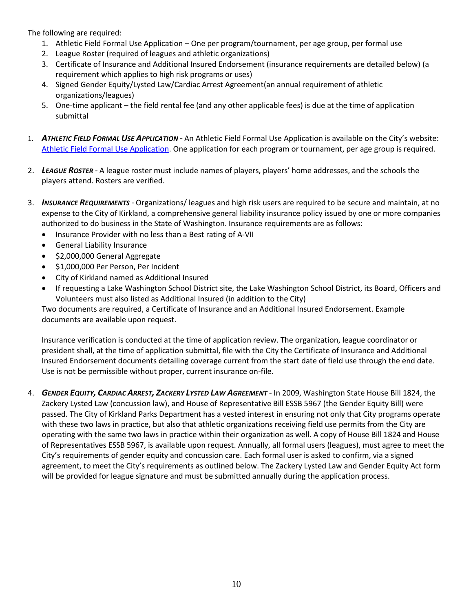The following are required:

- 1. Athletic Field Formal Use Application One per program/tournament, per age group, per formal use
- 2. League Roster (required of leagues and athletic organizations)
- 3. Certificate of Insurance and Additional Insured Endorsement (insurance requirements are detailed below) (a requirement which applies to high risk programs or uses)
- 4. Signed Gender Equity/Lysted Law/Cardiac Arrest Agreement(an annual requirement of athletic organizations/leagues)
- 5. One-time applicant the field rental fee (and any other applicable fees) is due at the time of application submittal
- 1. *ATHLETIC FIELD FORMAL USE APPLICATION -* An Athletic Field Formal Use Application is available on the City's website: [Athletic Field Formal Use Application.](http://www.kirklandwa.gov/Assets/Parks/Parks+PDFs/Athletic+Field+Formal+Use+Application.pdf) One application for each program or tournament, per age group is required.
- 2. *LEAGUE ROSTER -* A league roster must include names of players, players' home addresses, and the schools the players attend. Rosters are verified.
- 3. *INSURANCE REQUIREMENTS -* Organizations/ leagues and high risk users are required to be secure and maintain, at no expense to the City of Kirkland, a comprehensive general liability insurance policy issued by one or more companies authorized to do business in the State of Washington. Insurance requirements are as follows:
	- Insurance Provider with no less than a Best rating of A-VII
	- General Liability Insurance
	- \$2,000,000 General Aggregate
	- $\bullet$  \$1,000,000 Per Person, Per Incident
	- City of Kirkland named as Additional Insured
	- If requesting a Lake Washington School District site, the Lake Washington School District, its Board, Officers and Volunteers must also listed as Additional Insured (in addition to the City)

Two documents are required, a Certificate of Insurance and an Additional Insured Endorsement. Example documents are available upon request.

Insurance verification is conducted at the time of application review. The organization, league coordinator or president shall, at the time of application submittal, file with the City the Certificate of Insurance and Additional Insured Endorsement documents detailing coverage current from the start date of field use through the end date. Use is not be permissible without proper, current insurance on-file.

4. GENDER EQUITY, CARDIAC ARREST, ZACKERY LYSTED LAW AGREEMENT - In 2009, Washington State House Bill 1824, the Zackery Lysted Law (concussion law), and House of Representative Bill ESSB 5967 (the Gender Equity Bill) were passed. The City of Kirkland Parks Department has a vested interest in ensuring not only that City programs operate with these two laws in practice, but also that athletic organizations receiving field use permits from the City are operating with the same two laws in practice within their organization as well. A copy of House Bill 1824 and House of Representatives ESSB 5967, is available upon request. Annually, all formal users (leagues), must agree to meet the City's requirements of gender equity and concussion care. Each formal user is asked to confirm, via a signed agreement, to meet the City's requirements as outlined below. The Zackery Lysted Law and Gender Equity Act form will be provided for league signature and must be submitted annually during the application process.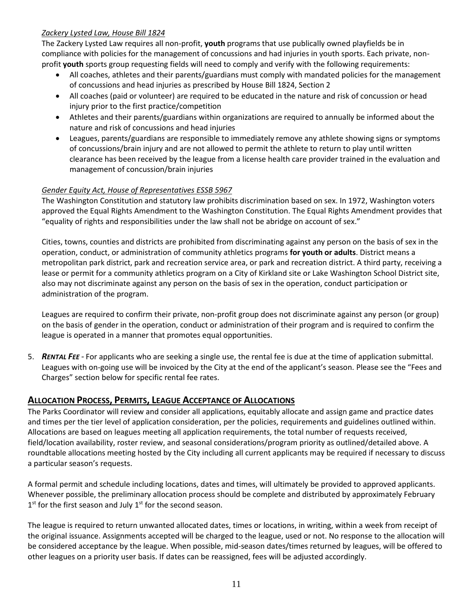### *Zackery Lysted Law, House Bill 1824*

The Zackery Lysted Law requires all non-profit, **youth** programs that use publically owned playfields be in compliance with policies for the management of concussions and had injuries in youth sports. Each private, nonprofit **youth** sports group requesting fields will need to comply and verify with the following requirements:

- All coaches, athletes and their parents/guardians must comply with mandated policies for the management of concussions and head injuries as prescribed by House Bill 1824, Section 2
- All coaches (paid or volunteer) are required to be educated in the nature and risk of concussion or head injury prior to the first practice/competition
- Athletes and their parents/guardians within organizations are required to annually be informed about the nature and risk of concussions and head injuries
- Leagues, parents/guardians are responsible to immediately remove any athlete showing signs or symptoms of concussions/brain injury and are not allowed to permit the athlete to return to play until written clearance has been received by the league from a license health care provider trained in the evaluation and management of concussion/brain injuries

### *Gender Equity Act, House of Representatives ESSB 5967*

The Washington Constitution and statutory law prohibits discrimination based on sex. In 1972, Washington voters approved the Equal Rights Amendment to the Washington Constitution. The Equal Rights Amendment provides that "equality of rights and responsibilities under the law shall not be abridge on account of sex."

Cities, towns, counties and districts are prohibited from discriminating against any person on the basis of sex in the operation, conduct, or administration of community athletics programs **for youth or adults**. District means a metropolitan park district, park and recreation service area, or park and recreation district. A third party, receiving a lease or permit for a community athletics program on a City of Kirkland site or Lake Washington School District site, also may not discriminate against any person on the basis of sex in the operation, conduct participation or administration of the program.

Leagues are required to confirm their private, non-profit group does not discriminate against any person (or group) on the basis of gender in the operation, conduct or administration of their program and is required to confirm the league is operated in a manner that promotes equal opportunities.

5. *RENTAL FEE -* For applicants who are seeking a single use, the rental fee is due at the time of application submittal. Leagues with on-going use will be invoiced by the City at the end of the applicant's season. Please see the "Fees and Charges" section below for specific rental fee rates.

# **ALLOCATION PROCESS, PERMITS, LEAGUE ACCEPTANCE OF ALLOCATIONS**

The Parks Coordinator will review and consider all applications, equitably allocate and assign game and practice dates and times per the tier level of application consideration, per the policies, requirements and guidelines outlined within. Allocations are based on leagues meeting all application requirements, the total number of requests received, field/location availability, roster review, and seasonal considerations/program priority as outlined/detailed above. A roundtable allocations meeting hosted by the City including all current applicants may be required if necessary to discuss a particular season's requests.

A formal permit and schedule including locations, dates and times, will ultimately be provided to approved applicants. Whenever possible, the preliminary allocation process should be complete and distributed by approximately February  $1<sup>st</sup>$  for the first season and July  $1<sup>st</sup>$  for the second season.

The league is required to return unwanted allocated dates, times or locations, in writing, within a week from receipt of the original issuance. Assignments accepted will be charged to the league, used or not. No response to the allocation will be considered acceptance by the league. When possible, mid-season dates/times returned by leagues, will be offered to other leagues on a priority user basis. If dates can be reassigned, fees will be adjusted accordingly.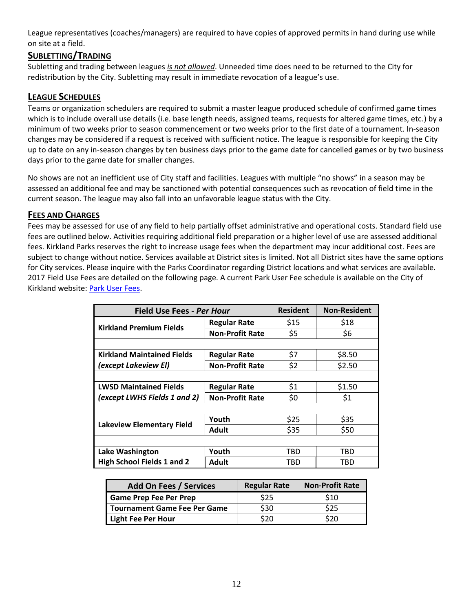League representatives (coaches/managers) are required to have copies of approved permits in hand during use while on site at a field.

# **SUBLETTING/TRADING**

Subletting and trading between leagues *is not allowed*. Unneeded time does need to be returned to the City for redistribution by the City. Subletting may result in immediate revocation of a league's use.

# **LEAGUE SCHEDULES**

Teams or organization schedulers are required to submit a master league produced schedule of confirmed game times which is to include overall use details (i.e. base length needs, assigned teams, requests for altered game times, etc.) by a minimum of two weeks prior to season commencement or two weeks prior to the first date of a tournament. In-season changes may be considered if a request is received with sufficient notice. The league is responsible for keeping the City up to date on any in-season changes by ten business days prior to the game date for cancelled games or by two business days prior to the game date for smaller changes.

No shows are not an inefficient use of City staff and facilities. Leagues with multiple "no shows" in a season may be assessed an additional fee and may be sanctioned with potential consequences such as revocation of field time in the current season. The league may also fall into an unfavorable league status with the City.

### **FEES AND CHARGES**

Fees may be assessed for use of any field to help partially offset administrative and operational costs. Standard field use fees are outlined below. Activities requiring additional field preparation or a higher level of use are assessed additional fees. Kirkland Parks reserves the right to increase usage fees when the department may incur additional cost. Fees are subject to change without notice. Services available at District sites is limited. Not all District sites have the same options for City services. Please inquire with the Parks Coordinator regarding District locations and what services are available. 2017 Field Use Fees are detailed on the following page. A current Park User Fee schedule is available on the City of Kirkland website[: Park User Fees.](http://www.kirklandwa.gov/Assets/Parks/Parks+PDFs/Park+User+Fees.pdf)

| <b>Field Use Fees - Per Hour</b>  |                        | <b>Resident</b> | <b>Non-Resident</b> |
|-----------------------------------|------------------------|-----------------|---------------------|
| <b>Kirkland Premium Fields</b>    | <b>Regular Rate</b>    | \$15            | \$18                |
|                                   | <b>Non-Profit Rate</b> | \$5             | \$6                 |
|                                   |                        |                 |                     |
| <b>Kirkland Maintained Fields</b> | <b>Regular Rate</b>    | \$7             | \$8.50              |
| (except Lakeview EI)              | <b>Non-Profit Rate</b> | \$2             | \$2.50              |
|                                   |                        |                 |                     |
| <b>LWSD Maintained Fields</b>     | <b>Regular Rate</b>    | \$1             | \$1.50              |
| (except LWHS Fields 1 and 2)      | <b>Non-Profit Rate</b> | \$0             | \$1                 |
|                                   |                        |                 |                     |
| <b>Lakeview Elementary Field</b>  | Youth                  | \$25            | \$35                |
|                                   | <b>Adult</b>           | \$35            | \$50                |
|                                   |                        |                 |                     |
| Lake Washington                   | Youth                  | TBD             | TBD                 |
| <b>High School Fields 1 and 2</b> | <b>Adult</b>           | TBD             | TBD                 |

| <b>Add On Fees / Services</b>       | <b>Regular Rate</b> | <b>Non-Profit Rate</b> |
|-------------------------------------|---------------------|------------------------|
| <b>Game Prep Fee Per Prep</b>       | S <sub>25</sub>     | \$10                   |
| <b>Tournament Game Fee Per Game</b> | \$30                | S25                    |
| Light Fee Per Hour                  | 520                 | 20                     |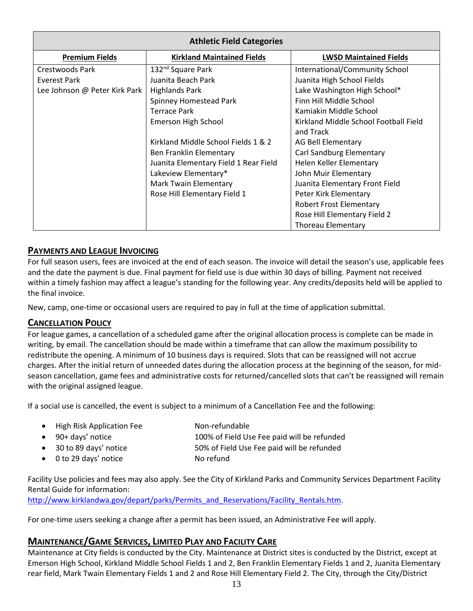| <b>Athletic Field Categories</b> |                                       |                                       |  |
|----------------------------------|---------------------------------------|---------------------------------------|--|
| <b>Premium Fields</b>            | <b>Kirkland Maintained Fields</b>     | <b>LWSD Maintained Fields</b>         |  |
| Crestwoods Park                  | 132 <sup>nd</sup> Square Park         | International/Community School        |  |
| Everest Park                     | Juanita Beach Park                    | Juanita High School Fields            |  |
| Lee Johnson @ Peter Kirk Park    | <b>Highlands Park</b>                 | Lake Washington High School*          |  |
|                                  | Spinney Homestead Park                | Finn Hill Middle School               |  |
|                                  | Terrace Park                          | Kamiakin Middle School                |  |
|                                  | Emerson High School                   | Kirkland Middle School Football Field |  |
|                                  |                                       | and Track                             |  |
|                                  | Kirkland Middle School Fields 1 & 2   | <b>AG Bell Elementary</b>             |  |
|                                  | Ben Franklin Elementary               | <b>Carl Sandburg Elementary</b>       |  |
|                                  | Juanita Elementary Field 1 Rear Field | Helen Keller Elementary               |  |
|                                  | Lakeview Elementary*                  | John Muir Elementary                  |  |
|                                  | <b>Mark Twain Elementary</b>          | Juanita Elementary Front Field        |  |
|                                  | Rose Hill Elementary Field 1          | Peter Kirk Elementary                 |  |
|                                  |                                       | <b>Robert Frost Elementary</b>        |  |
|                                  |                                       | Rose Hill Elementary Field 2          |  |
|                                  |                                       | <b>Thoreau Elementary</b>             |  |

# **PAYMENTS AND LEAGUE INVOICING**

For full season users, fees are invoiced at the end of each season. The invoice will detail the season's use, applicable fees and the date the payment is due. Final payment for field use is due within 30 days of billing. Payment not received within a timely fashion may affect a league's standing for the following year. Any credits/deposits held will be applied to the final invoice.

New, camp, one-time or occasional users are required to pay in full at the time of application submittal.

# **CANCELLATION POLICY**

For league games, a cancellation of a scheduled game after the original allocation process is complete can be made in writing, by email. The cancellation should be made within a timeframe that can allow the maximum possibility to redistribute the opening. A minimum of 10 business days is required. Slots that can be reassigned will not accrue charges. After the initial return of unneeded dates during the allocation process at the beginning of the season, for midseason cancellation, game fees and administrative costs for returned/cancelled slots that can't be reassigned will remain with the original assigned league.

If a social use is cancelled, the event is subject to a minimum of a Cancellation Fee and the following:

- High Risk Application Fee Non-refundable
- 90+ days' notice 100% of Field Use Fee paid will be refunded
- 30 to 89 days' notice 50% of Field Use Fee paid will be refunded
- 0 to 29 days' notice No refund

Facility Use policies and fees may also apply. See the City of Kirkland Parks and Community Services Department Facility Rental Guide for information:

[http://www.kirklandwa.gov/depart/parks/Permits\\_and\\_Reservations/Facility\\_Rentals.htm.](http://www.kirklandwa.gov/depart/parks/Permits_and_Reservations/Facility_Rentals.htm)

For one-time users seeking a change after a permit has been issued, an Administrative Fee will apply.

# **MAINTENANCE/GAME SERVICES, LIMITED PLAY AND FACILITY CARE**

Maintenance at City fields is conducted by the City. Maintenance at District sites is conducted by the District, except at Emerson High School, Kirkland Middle School Fields 1 and 2, Ben Franklin Elementary Fields 1 and 2, Juanita Elementary rear field, Mark Twain Elementary Fields 1 and 2 and Rose Hill Elementary Field 2. The City, through the City/District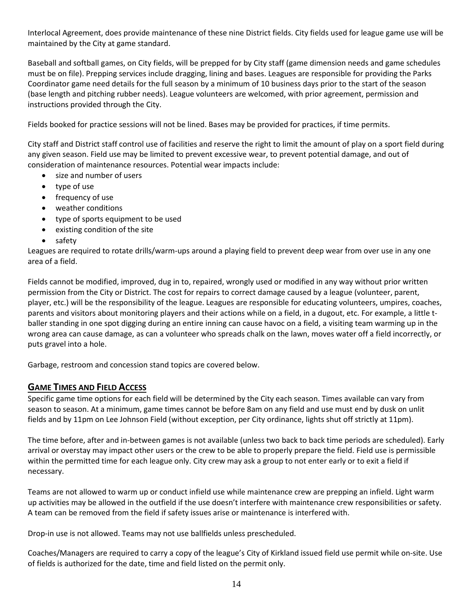Interlocal Agreement, does provide maintenance of these nine District fields. City fields used for league game use will be maintained by the City at game standard.

Baseball and softball games, on City fields, will be prepped for by City staff (game dimension needs and game schedules must be on file). Prepping services include dragging, lining and bases. Leagues are responsible for providing the Parks Coordinator game need details for the full season by a minimum of 10 business days prior to the start of the season (base length and pitching rubber needs). League volunteers are welcomed, with prior agreement, permission and instructions provided through the City.

Fields booked for practice sessions will not be lined. Bases may be provided for practices, if time permits.

City staff and District staff control use of facilities and reserve the right to limit the amount of play on a sport field during any given season. Field use may be limited to prevent excessive wear, to prevent potential damage, and out of consideration of maintenance resources. Potential wear impacts include:

- size and number of users
- type of use
- frequency of use
- weather conditions
- type of sports equipment to be used
- existing condition of the site
- safety

Leagues are required to rotate drills/warm-ups around a playing field to prevent deep wear from over use in any one area of a field.

Fields cannot be modified, improved, dug in to, repaired, wrongly used or modified in any way without prior written permission from the City or District. The cost for repairs to correct damage caused by a league (volunteer, parent, player, etc.) will be the responsibility of the league. Leagues are responsible for educating volunteers, umpires, coaches, parents and visitors about monitoring players and their actions while on a field, in a dugout, etc. For example, a little tballer standing in one spot digging during an entire inning can cause havoc on a field, a visiting team warming up in the wrong area can cause damage, as can a volunteer who spreads chalk on the lawn, moves water off a field incorrectly, or puts gravel into a hole.

Garbage, restroom and concession stand topics are covered below.

# **GAME TIMES AND FIELD ACCESS**

Specific game time options for each field will be determined by the City each season. Times available can vary from season to season. At a minimum, game times cannot be before 8am on any field and use must end by dusk on unlit fields and by 11pm on Lee Johnson Field (without exception, per City ordinance, lights shut off strictly at 11pm).

The time before, after and in-between games is not available (unless two back to back time periods are scheduled). Early arrival or overstay may impact other users or the crew to be able to properly prepare the field. Field use is permissible within the permitted time for each league only. City crew may ask a group to not enter early or to exit a field if necessary.

Teams are not allowed to warm up or conduct infield use while maintenance crew are prepping an infield. Light warm up activities may be allowed in the outfield if the use doesn't interfere with maintenance crew responsibilities or safety. A team can be removed from the field if safety issues arise or maintenance is interfered with.

Drop-in use is not allowed. Teams may not use ballfields unless prescheduled.

Coaches/Managers are required to carry a copy of the league's City of Kirkland issued field use permit while on-site. Use of fields is authorized for the date, time and field listed on the permit only.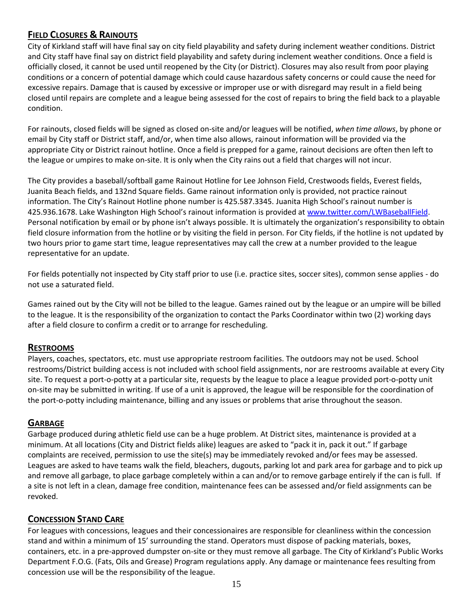# **FIELD CLOSURES & RAINOUTS**

City of Kirkland staff will have final say on city field playability and safety during inclement weather conditions. District and City staff have final say on district field playability and safety during inclement weather conditions. Once a field is officially closed, it cannot be used until reopened by the City (or District). Closures may also result from poor playing conditions or a concern of potential damage which could cause hazardous safety concerns or could cause the need for excessive repairs. Damage that is caused by excessive or improper use or with disregard may result in a field being closed until repairs are complete and a league being assessed for the cost of repairs to bring the field back to a playable condition.

For rainouts, closed fields will be signed as closed on-site and/or leagues will be notified, *when time allows*, by phone or email by City staff or District staff, and/or, when time also allows, rainout information will be provided via the appropriate City or District rainout hotline. Once a field is prepped for a game, rainout decisions are often then left to the league or umpires to make on-site. It is only when the City rains out a field that charges will not incur.

The City provides a baseball/softball game Rainout Hotline for Lee Johnson Field, Crestwoods fields, Everest fields, Juanita Beach fields, and 132nd Square fields. Game rainout information only is provided, not practice rainout information. The City's Rainout Hotline phone number is 425.587.3345. Juanita High School's rainout number is 425.936.1678. Lake Washington High School's rainout information is provided at [www.twitter.com/LWBaseballField.](http://www.twitter.com/LWBaseballField) Personal notification by email or by phone isn't always possible. It is ultimately the organization's responsibility to obtain field closure information from the hotline or by visiting the field in person. For City fields, if the hotline is not updated by two hours prior to game start time, league representatives may call the crew at a number provided to the league representative for an update.

For fields potentially not inspected by City staff prior to use (i.e. practice sites, soccer sites), common sense applies - do not use a saturated field.

Games rained out by the City will not be billed to the league. Games rained out by the league or an umpire will be billed to the league. It is the responsibility of the organization to contact the Parks Coordinator within two (2) working days after a field closure to confirm a credit or to arrange for rescheduling.

# **RESTROOMS**

Players, coaches, spectators, etc. must use appropriate restroom facilities. The outdoors may not be used. School restrooms/District building access is not included with school field assignments, nor are restrooms available at every City site. To request a port-o-potty at a particular site, requests by the league to place a league provided port-o-potty unit on-site may be submitted in writing. If use of a unit is approved, the league will be responsible for the coordination of the port-o-potty including maintenance, billing and any issues or problems that arise throughout the season.

# **GARBAGE**

Garbage produced during athletic field use can be a huge problem. At District sites, maintenance is provided at a minimum. At all locations (City and District fields alike) leagues are asked to "pack it in, pack it out." If garbage complaints are received, permission to use the site(s) may be immediately revoked and/or fees may be assessed. Leagues are asked to have teams walk the field, bleachers, dugouts, parking lot and park area for garbage and to pick up and remove all garbage, to place garbage completely within a can and/or to remove garbage entirely if the can is full. If a site is not left in a clean, damage free condition, maintenance fees can be assessed and/or field assignments can be revoked.

# **CONCESSION STAND CARE**

For leagues with concessions, leagues and their concessionaires are responsible for cleanliness within the concession stand and within a minimum of 15' surrounding the stand. Operators must dispose of packing materials, boxes, containers, etc. in a pre-approved dumpster on-site or they must remove all garbage. The City of Kirkland's Public Works Department F.O.G. (Fats, Oils and Grease) Program regulations apply. Any damage or maintenance fees resulting from concession use will be the responsibility of the league.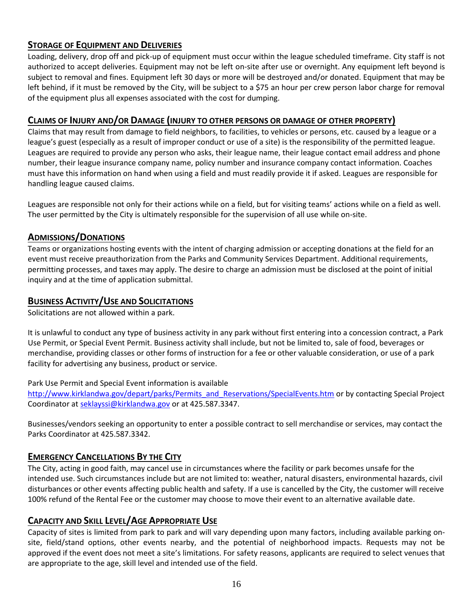# **STORAGE OF EQUIPMENT AND DELIVERIES**

Loading, delivery, drop off and pick-up of equipment must occur within the league scheduled timeframe. City staff is not authorized to accept deliveries. Equipment may not be left on-site after use or overnight. Any equipment left beyond is subject to removal and fines. Equipment left 30 days or more will be destroyed and/or donated. Equipment that may be left behind, if it must be removed by the City, will be subject to a \$75 an hour per crew person labor charge for removal of the equipment plus all expenses associated with the cost for dumping.

### **CLAIMS OF INJURY AND/OR DAMAGE (INJURY TO OTHER PERSONS OR DAMAGE OF OTHER PROPERTY)**

Claims that may result from damage to field neighbors, to facilities, to vehicles or persons, etc. caused by a league or a league's guest (especially as a result of improper conduct or use of a site) is the responsibility of the permitted league. Leagues are required to provide any person who asks, their league name, their league contact email address and phone number, their league insurance company name, policy number and insurance company contact information. Coaches must have this information on hand when using a field and must readily provide it if asked. Leagues are responsible for handling league caused claims.

Leagues are responsible not only for their actions while on a field, but for visiting teams' actions while on a field as well. The user permitted by the City is ultimately responsible for the supervision of all use while on-site.

# **ADMISSIONS/DONATIONS**

Teams or organizations hosting events with the intent of charging admission or accepting donations at the field for an event must receive preauthorization from the Parks and Community Services Department. Additional requirements, permitting processes, and taxes may apply. The desire to charge an admission must be disclosed at the point of initial inquiry and at the time of application submittal.

# **BUSINESS ACTIVITY/USE AND SOLICITATIONS**

Solicitations are not allowed within a park.

It is unlawful to conduct any type of business activity in any park without first entering into a concession contract, a Park Use Permit, or Special Event Permit. Business activity shall include, but not be limited to, sale of food, beverages or merchandise, providing classes or other forms of instruction for a fee or other valuable consideration, or use of a park facility for advertising any business, product or service.

Park Use Permit and Special Event information is available

[http://www.kirklandwa.gov/depart/parks/Permits\\_and\\_Reservations/SpecialEvents.htm](http://www.kirklandwa.gov/depart/parks/Permits_and_Reservations/SpecialEvents.htm) or by contacting Special Project Coordinator at [seklayssi@kirklandwa.gov](mailto:seklayssi@kirklandwa.gov) or at 425.587.3347.

Businesses/vendors seeking an opportunity to enter a possible contract to sell merchandise or services, may contact the Parks Coordinator at 425.587.3342.

# **EMERGENCY CANCELLATIONS BY THE CITY**

The City, acting in good faith, may cancel use in circumstances where the facility or park becomes unsafe for the intended use. Such circumstances include but are not limited to: weather, natural disasters, environmental hazards, civil disturbances or other events affecting public health and safety. If a use is cancelled by the City, the customer will receive 100% refund of the Rental Fee or the customer may choose to move their event to an alternative available date.

# **CAPACITY AND SKILL LEVEL/AGE APPROPRIATE USE**

Capacity of sites is limited from park to park and will vary depending upon many factors, including available parking onsite, field/stand options, other events nearby, and the potential of neighborhood impacts. Requests may not be approved if the event does not meet a site's limitations. For safety reasons, applicants are required to select venues that are appropriate to the age, skill level and intended use of the field.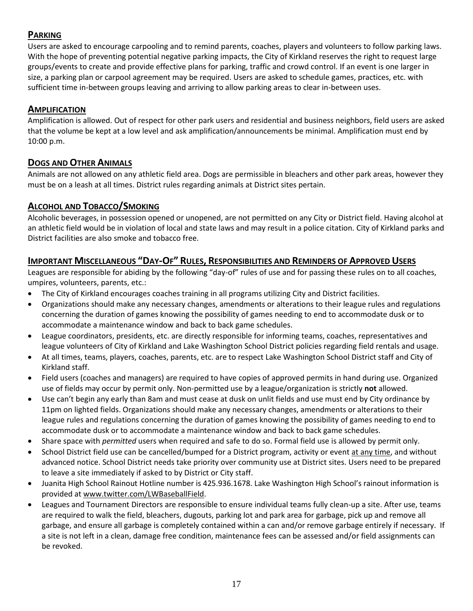# **PARKING**

Users are asked to encourage carpooling and to remind parents, coaches, players and volunteers to follow parking laws. With the hope of preventing potential negative parking impacts, the City of Kirkland reserves the right to request large groups/events to create and provide effective plans for parking, traffic and crowd control. If an event is one larger in size, a parking plan or carpool agreement may be required. Users are asked to schedule games, practices, etc. with sufficient time in-between groups leaving and arriving to allow parking areas to clear in-between uses.

# **AMPLIFICATION**

Amplification is allowed. Out of respect for other park users and residential and business neighbors, field users are asked that the volume be kept at a low level and ask amplification/announcements be minimal. Amplification must end by 10:00 p.m.

# **DOGS AND OTHER ANIMALS**

Animals are not allowed on any athletic field area. Dogs are permissible in bleachers and other park areas, however they must be on a leash at all times. District rules regarding animals at District sites pertain.

# **ALCOHOL AND TOBACCO/SMOKING**

Alcoholic beverages, in possession opened or unopened, are not permitted on any City or District field. Having alcohol at an athletic field would be in violation of local and state laws and may result in a police citation. City of Kirkland parks and District facilities are also smoke and tobacco free.

# **IMPORTANT MISCELLANEOUS "DAY-OF" RULES, RESPONSIBILITIES AND REMINDERS OF APPROVED USERS**

Leagues are responsible for abiding by the following "day-of" rules of use and for passing these rules on to all coaches, umpires, volunteers, parents, etc.:

- The City of Kirkland encourages coaches training in all programs utilizing City and District facilities.
- Organizations should make any necessary changes, amendments or alterations to their league rules and regulations concerning the duration of games knowing the possibility of games needing to end to accommodate dusk or to accommodate a maintenance window and back to back game schedules.
- League coordinators, presidents, etc. are directly responsible for informing teams, coaches, representatives and league volunteers of City of Kirkland and Lake Washington School District policies regarding field rentals and usage.
- At all times, teams, players, coaches, parents, etc. are to respect Lake Washington School District staff and City of Kirkland staff.
- Field users (coaches and managers) are required to have copies of approved permits in hand during use. Organized use of fields may occur by permit only. Non-permitted use by a league/organization is strictly **not** allowed.
- Use can't begin any early than 8am and must cease at dusk on unlit fields and use must end by City ordinance by 11pm on lighted fields. Organizations should make any necessary changes, amendments or alterations to their league rules and regulations concerning the duration of games knowing the possibility of games needing to end to accommodate dusk or to accommodate a maintenance window and back to back game schedules.
- Share space with *permitted* users when required and safe to do so. Formal field use is allowed by permit only.
- School District field use can be cancelled/bumped for a District program, activity or event at any time, and without advanced notice. School District needs take priority over community use at District sites. Users need to be prepared to leave a site immediately if asked to by District or City staff.
- Juanita High School Rainout Hotline number is 425.936.1678. Lake Washington High School's rainout information is provided at [www.twitter.com/LWBaseballField.](www.twitter.com/LWBaseballField)
- Leagues and Tournament Directors are responsible to ensure individual teams fully clean-up a site. After use, teams are required to walk the field, bleachers, dugouts, parking lot and park area for garbage, pick up and remove all garbage, and ensure all garbage is completely contained within a can and/or remove garbage entirely if necessary. If a site is not left in a clean, damage free condition, maintenance fees can be assessed and/or field assignments can be revoked.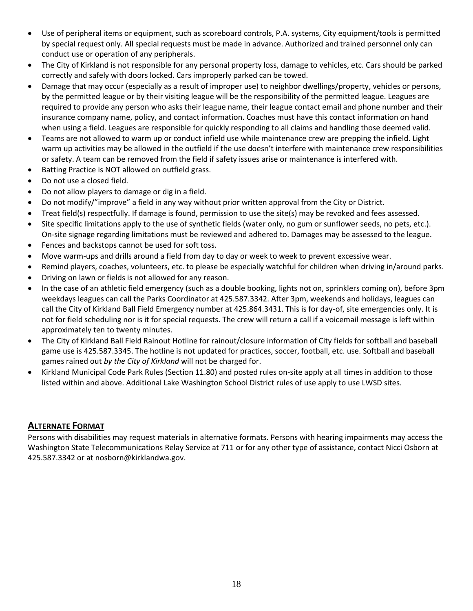- Use of peripheral items or equipment, such as scoreboard controls, P.A. systems, City equipment/tools is permitted by special request only. All special requests must be made in advance. Authorized and trained personnel only can conduct use or operation of any peripherals.
- The City of Kirkland is not responsible for any personal property loss, damage to vehicles, etc. Cars should be parked correctly and safely with doors locked. Cars improperly parked can be towed.
- Damage that may occur (especially as a result of improper use) to neighbor dwellings/property, vehicles or persons, by the permitted league or by their visiting league will be the responsibility of the permitted league. Leagues are required to provide any person who asks their league name, their league contact email and phone number and their insurance company name, policy, and contact information. Coaches must have this contact information on hand when using a field. Leagues are responsible for quickly responding to all claims and handling those deemed valid.
- Teams are not allowed to warm up or conduct infield use while maintenance crew are prepping the infield. Light warm up activities may be allowed in the outfield if the use doesn't interfere with maintenance crew responsibilities or safety. A team can be removed from the field if safety issues arise or maintenance is interfered with.
- Batting Practice is NOT allowed on outfield grass.
- Do not use a closed field.
- Do not allow players to damage or dig in a field.
- Do not modify/"improve" a field in any way without prior written approval from the City or District.
- Treat field(s) respectfully. If damage is found, permission to use the site(s) may be revoked and fees assessed.
- Site specific limitations apply to the use of synthetic fields (water only, no gum or sunflower seeds, no pets, etc.). On-site signage regarding limitations must be reviewed and adhered to. Damages may be assessed to the league.
- Fences and backstops cannot be used for soft toss.
- Move warm-ups and drills around a field from day to day or week to week to prevent excessive wear.
- Remind players, coaches, volunteers, etc. to please be especially watchful for children when driving in/around parks.
- Driving on lawn or fields is not allowed for any reason.
- In the case of an athletic field emergency (such as a double booking, lights not on, sprinklers coming on), before 3pm weekdays leagues can call the Parks Coordinator at 425.587.3342. After 3pm, weekends and holidays, leagues can call the City of Kirkland Ball Field Emergency number at 425.864.3431. This is for day-of, site emergencies only. It is not for field scheduling nor is it for special requests. The crew will return a call if a voicemail message is left within approximately ten to twenty minutes.
- The City of Kirkland Ball Field Rainout Hotline for rainout/closure information of City fields for softball and baseball game use is 425.587.3345. The hotline is not updated for practices, soccer, football, etc. use. Softball and baseball games rained out *by the City of Kirkland* will not be charged for.
- Kirkland Municipal Code Park Rules (Section 11.80) and posted rules on-site apply at all times in addition to those listed within and above. Additional Lake Washington School District rules of use apply to use LWSD sites.

# **ALTERNATE FORMAT**

Persons with disabilities may request materials in alternative formats. Persons with hearing impairments may access the Washington State Telecommunications Relay Service at 711 or for any other type of assistance, contact Nicci Osborn at 425.587.3342 or at nosborn@kirklandwa.gov.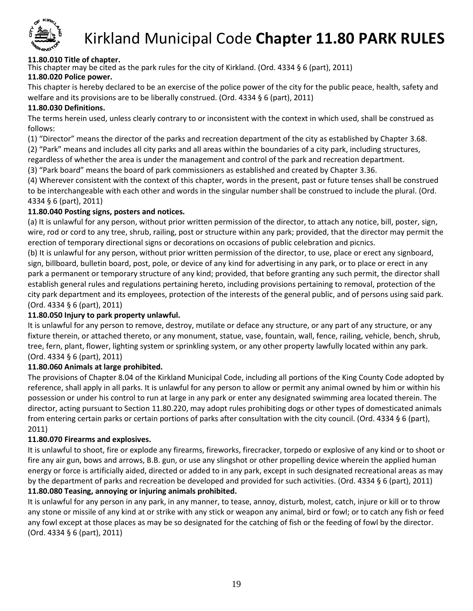

# Kirkland Municipal Code **Chapter 11.80 PARK RULES**

### **11.80.010 Title of chapter.**

This chapter may be cited as the park rules for the city of Kirkland. (Ord. 4334 § 6 (part), 2011)

### **11.80.020 Police power.**

This chapter is hereby declared to be an exercise of the police power of the city for the public peace, health, safety and welfare and its provisions are to be liberally construed. (Ord. 4334 § 6 (part), 2011)

#### **11.80.030 Definitions.**

The terms herein used, unless clearly contrary to or inconsistent with the context in which used, shall be construed as follows:

(1) "Director" means the director of the parks and recreation department of the city as established by Chapter 3.68.

(2) "Park" means and includes all city parks and all areas within the boundaries of a city park, including structures,

regardless of whether the area is under the management and control of the park and recreation department.

(3) "Park board" means the board of park commissioners as established and created by Chapter 3.36.

(4) Wherever consistent with the context of this chapter, words in the present, past or future tenses shall be construed to be interchangeable with each other and words in the singular number shall be construed to include the plural. (Ord. 4334 § 6 (part), 2011)

#### **11.80.040 Posting signs, posters and notices.**

(a) It is unlawful for any person, without prior written permission of the director, to attach any notice, bill, poster, sign, wire, rod or cord to any tree, shrub, railing, post or structure within any park; provided, that the director may permit the erection of temporary directional signs or decorations on occasions of public celebration and picnics.

(b) It is unlawful for any person, without prior written permission of the director, to use, place or erect any signboard, sign, billboard, bulletin board, post, pole, or device of any kind for advertising in any park, or to place or erect in any park a permanent or temporary structure of any kind; provided, that before granting any such permit, the director shall establish general rules and regulations pertaining hereto, including provisions pertaining to removal, protection of the city park department and its employees, protection of the interests of the general public, and of persons using said park. (Ord. 4334 § 6 (part), 2011)

### **11.80.050 Injury to park property unlawful.**

It is unlawful for any person to remove, destroy, mutilate or deface any structure, or any part of any structure, or any fixture therein, or attached thereto, or any monument, statue, vase, fountain, wall, fence, railing, vehicle, bench, shrub, tree, fern, plant, flower, lighting system or sprinkling system, or any other property lawfully located within any park. (Ord. 4334 § 6 (part), 2011)

#### **11.80.060 Animals at large prohibited.**

The provisions of Chapter 8.04 of the Kirkland Municipal Code, including all portions of the King County Code adopted by reference, shall apply in all parks. It is unlawful for any person to allow or permit any animal owned by him or within his possession or under his control to run at large in any park or enter any designated swimming area located therein. The director, acting pursuant to Section 11.80.220, may adopt rules prohibiting dogs or other types of domesticated animals from entering certain parks or certain portions of parks after consultation with the city council. (Ord. 4334 § 6 (part), 2011)

### **11.80.070 Firearms and explosives.**

It is unlawful to shoot, fire or explode any firearms, fireworks, firecracker, torpedo or explosive of any kind or to shoot or fire any air gun, bows and arrows, B.B. gun, or use any slingshot or other propelling device wherein the applied human energy or force is artificially aided, directed or added to in any park, except in such designated recreational areas as may by the department of parks and recreation be developed and provided for such activities. (Ord. 4334 § 6 (part), 2011)

#### **11.80.080 Teasing, annoying or injuring animals prohibited.**

It is unlawful for any person in any park, in any manner, to tease, annoy, disturb, molest, catch, injure or kill or to throw any stone or missile of any kind at or strike with any stick or weapon any animal, bird or fowl; or to catch any fish or feed any fowl except at those places as may be so designated for the catching of fish or the feeding of fowl by the director. (Ord. 4334 § 6 (part), 2011)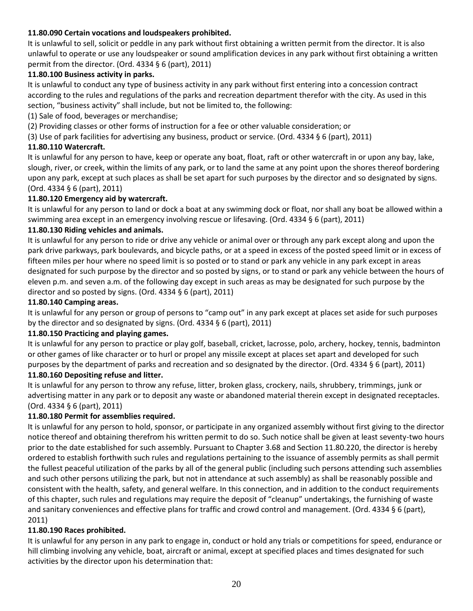### **11.80.090 Certain vocations and loudspeakers prohibited.**

It is unlawful to sell, solicit or peddle in any park without first obtaining a written permit from the director. It is also unlawful to operate or use any loudspeaker or sound amplification devices in any park without first obtaining a written permit from the director. (Ord. 4334 § 6 (part), 2011)

#### **11.80.100 Business activity in parks.**

It is unlawful to conduct any type of business activity in any park without first entering into a concession contract according to the rules and regulations of the parks and recreation department therefor with the city. As used in this section, "business activity" shall include, but not be limited to, the following:

(1) Sale of food, beverages or merchandise;

(2) Providing classes or other forms of instruction for a fee or other valuable consideration; or

(3) Use of park facilities for advertising any business, product or service. (Ord. 4334 § 6 (part), 2011)

#### **11.80.110 Watercraft.**

It is unlawful for any person to have, keep or operate any boat, float, raft or other watercraft in or upon any bay, lake, slough, river, or creek, within the limits of any park, or to land the same at any point upon the shores thereof bordering upon any park, except at such places as shall be set apart for such purposes by the director and so designated by signs. (Ord. 4334 § 6 (part), 2011)

#### **11.80.120 Emergency aid by watercraft.**

It is unlawful for any person to land or dock a boat at any swimming dock or float, nor shall any boat be allowed within a swimming area except in an emergency involving rescue or lifesaving. (Ord. 4334 § 6 (part), 2011)

#### **11.80.130 Riding vehicles and animals.**

It is unlawful for any person to ride or drive any vehicle or animal over or through any park except along and upon the park drive parkways, park boulevards, and bicycle paths, or at a speed in excess of the posted speed limit or in excess of fifteen miles per hour where no speed limit is so posted or to stand or park any vehicle in any park except in areas designated for such purpose by the director and so posted by signs, or to stand or park any vehicle between the hours of eleven p.m. and seven a.m. of the following day except in such areas as may be designated for such purpose by the director and so posted by signs. (Ord. 4334 § 6 (part), 2011)

#### **11.80.140 Camping areas.**

It is unlawful for any person or group of persons to "camp out" in any park except at places set aside for such purposes by the director and so designated by signs. (Ord. 4334 § 6 (part), 2011)

#### **11.80.150 Practicing and playing games.**

It is unlawful for any person to practice or play golf, baseball, cricket, lacrosse, polo, archery, hockey, tennis, badminton or other games of like character or to hurl or propel any missile except at places set apart and developed for such purposes by the department of parks and recreation and so designated by the director. (Ord. 4334 § 6 (part), 2011)

#### **11.80.160 Depositing refuse and litter.**

It is unlawful for any person to throw any refuse, litter, broken glass, crockery, nails, shrubbery, trimmings, junk or advertising matter in any park or to deposit any waste or abandoned material therein except in designated receptacles. (Ord. 4334 § 6 (part), 2011)

#### **11.80.180 Permit for assemblies required.**

It is unlawful for any person to hold, sponsor, or participate in any organized assembly without first giving to the director notice thereof and obtaining therefrom his written permit to do so. Such notice shall be given at least seventy-two hours prior to the date established for such assembly. Pursuant to Chapter 3.68 and Section 11.80.220, the director is hereby ordered to establish forthwith such rules and regulations pertaining to the issuance of assembly permits as shall permit the fullest peaceful utilization of the parks by all of the general public (including such persons attending such assemblies and such other persons utilizing the park, but not in attendance at such assembly) as shall be reasonably possible and consistent with the health, safety, and general welfare. In this connection, and in addition to the conduct requirements of this chapter, such rules and regulations may require the deposit of "cleanup" undertakings, the furnishing of waste and sanitary conveniences and effective plans for traffic and crowd control and management. (Ord. 4334 § 6 (part), 2011)

#### **11.80.190 Races prohibited.**

It is unlawful for any person in any park to engage in, conduct or hold any trials or competitions for speed, endurance or hill climbing involving any vehicle, boat, aircraft or animal, except at specified places and times designated for such activities by the director upon his determination that: